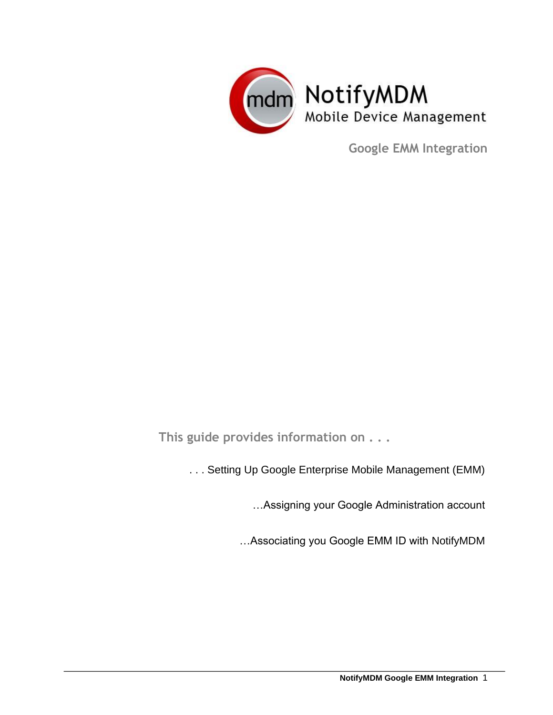

**Google EMM Integration**

**This guide provides information on . . .** 

. . . Setting Up Google Enterprise Mobile Management (EMM)

…Assigning your Google Administration account

…Associating you Google EMM ID with NotifyMDM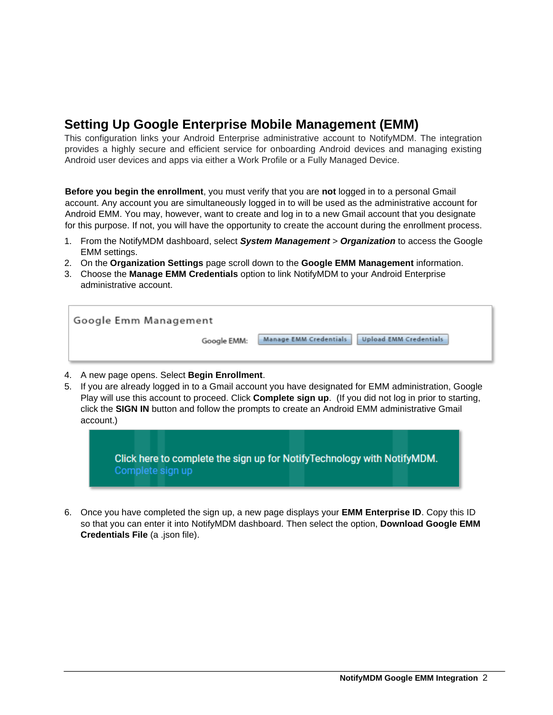## **Setting Up Google Enterprise Mobile Management (EMM)**

This configuration links your Android Enterprise administrative account to NotifyMDM. The integration provides a highly secure and efficient service for onboarding Android devices and managing existing Android user devices and apps via either a Work Profile or a Fully Managed Device.

**Before you begin the enrollment**, you must verify that you are **not** logged in to a personal Gmail account. Any account you are simultaneously logged in to will be used as the administrative account for Android EMM. You may, however, want to create and log in to a new Gmail account that you designate for this purpose. If not, you will have the opportunity to create the account during the enrollment process.

- 1. From the NotifyMDM dashboard, select *System Management* > *Organization* to access the Google EMM settings.
- 2. On the **Organization Settings** page scroll down to the **Google EMM Management** information.
- 3. Choose the **Manage EMM Credentials** option to link NotifyMDM to your Android Enterprise administrative account.

| Google Emm Management |                                                                |  |
|-----------------------|----------------------------------------------------------------|--|
| Google EMM:           | <b>Manage EMM Credentials</b><br><b>Upload EMM Credentials</b> |  |

- 4. A new page opens. Select **Begin Enrollment**.
- 5. If you are already logged in to a Gmail account you have designated for EMM administration, Google Play will use this account to proceed. Click **Complete sign up**. (If you did not log in prior to starting, click the **SIGN IN** button and follow the prompts to create an Android EMM administrative Gmail account.)

Click here to complete the sign up for Notify Technology with NotifyMDM. Complete sign up

6. Once you have completed the sign up, a new page displays your **EMM Enterprise ID**. Copy this ID so that you can enter it into NotifyMDM dashboard. Then select the option, **Download Google EMM Credentials File** (a .json file).